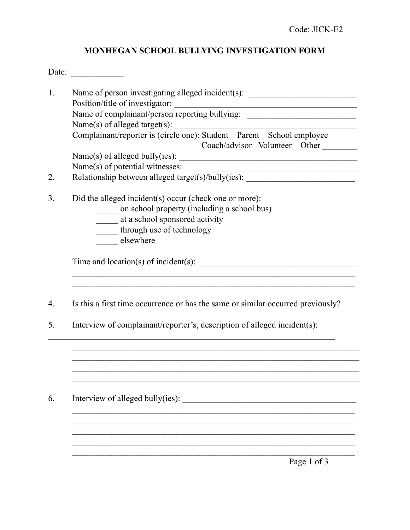## **MONHEGAN SCHOOL BULLYING INVESTIGATION FORM**

| Date:    |                                                                                                                                                                                                                                                                                                                                                                                                                                                                          |
|----------|--------------------------------------------------------------------------------------------------------------------------------------------------------------------------------------------------------------------------------------------------------------------------------------------------------------------------------------------------------------------------------------------------------------------------------------------------------------------------|
| 1.<br>2. | Name of person investigating alleged incident(s): ______________________________<br>Position/title of investigator:<br>Name of complainant/person reporting bullying:<br>Name(s) of alleged target(s):<br>Complainant/reporter is (circle one): Student Parent School employee<br>Coach/advisor Volunteer Other<br>Name(s) of alleged bully(ies):<br>Name(s) of potential witnesses:<br>Relationship between alleged target(s)/bully(ies): _____________________________ |
| 3.       | Did the alleged incident(s) occur (check one or more):<br>on school property (including a school bus)<br>_____ at a school sponsored activity<br>through use of technology<br>elsewhere                                                                                                                                                                                                                                                                                  |
| 4.<br>5. | Is this a first time occurrence or has the same or similar occurred previously?<br>Interview of complainant/reporter's, description of alleged incident(s):                                                                                                                                                                                                                                                                                                              |
| 6.       | Page 1 of 3                                                                                                                                                                                                                                                                                                                                                                                                                                                              |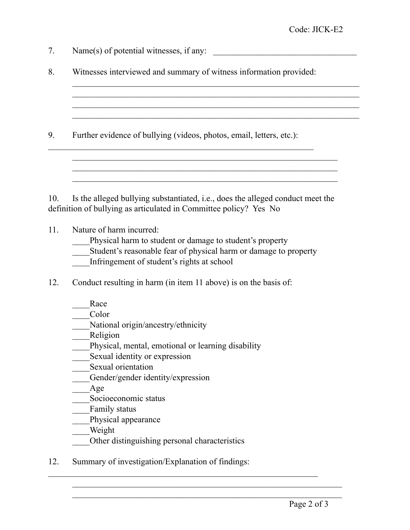| 7.  | Name $(s)$ of potential witnesses, if any:                                                                                                                                                                                                                                                                                                                 |
|-----|------------------------------------------------------------------------------------------------------------------------------------------------------------------------------------------------------------------------------------------------------------------------------------------------------------------------------------------------------------|
| 8.  | Witnesses interviewed and summary of witness information provided:                                                                                                                                                                                                                                                                                         |
|     |                                                                                                                                                                                                                                                                                                                                                            |
| 9.  | Further evidence of bullying (videos, photos, email, letters, etc.):                                                                                                                                                                                                                                                                                       |
| 10. | Is the alleged bullying substantiated, i.e., does the alleged conduct meet the<br>definition of bullying as articulated in Committee policy? Yes No                                                                                                                                                                                                        |
| 11. | Nature of harm incurred:<br>Physical harm to student or damage to student's property<br>Student's reasonable fear of physical harm or damage to property<br>Infringement of student's rights at school                                                                                                                                                     |
| 12. | Conduct resulting in harm (in item 11 above) is on the basis of:                                                                                                                                                                                                                                                                                           |
|     | Race<br>Color<br>National origin/ancestry/ethnicity<br>Religion<br>Physical, mental, emotional or learning disability<br>Sexual identity or expression<br>Sexual orientation<br>Gender/gender identity/expression<br>Age<br>Socioeconomic status<br><b>Eamily status</b><br>Physical appearance<br>Weight<br>Other distinguishing personal characteristics |
| 12. | Summary of investigation/Explanation of findings:                                                                                                                                                                                                                                                                                                          |